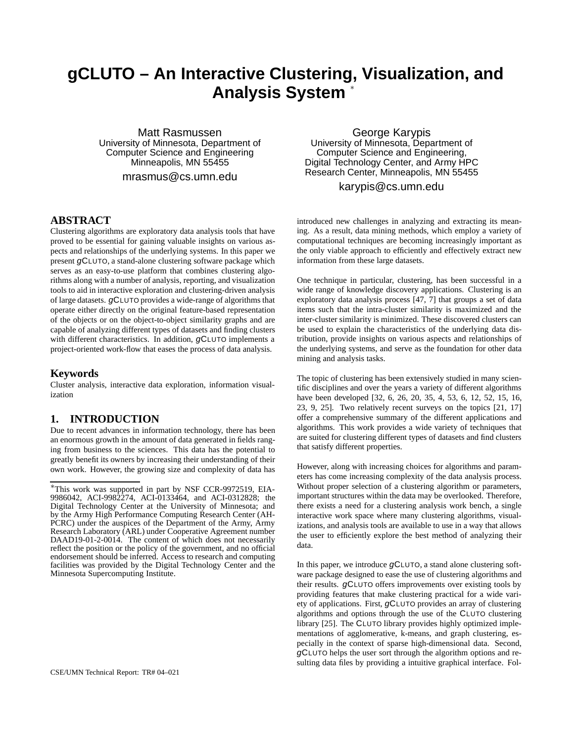# **gCLUTO – An Interactive Clustering, Visualization, and Analysis System** <sup>∗</sup>

Matt Rasmussen University of Minnesota, Department of Computer Science and Engineering Minneapolis, MN 55455

mrasmus@cs.umn.edu

### **ABSTRACT**

Clustering algorithms are exploratory data analysis tools that have proved to be essential for gaining valuable insights on various aspects and relationships of the underlying systems. In this paper we present *g*CLUTO, a stand-alone clustering software package which serves as an easy-to-use platform that combines clustering algorithms along with a number of analysis, reporting, and visualization tools to aid in interactive exploration and clustering-driven analysis of large datasets. *g*CLUTO provides a wide-range of algorithms that operate either directly on the original feature-based representation of the objects or on the object-to-object similarity graphs and are capable of analyzing different types of datasets and finding clusters with different characteristics. In addition, *g*CLUTO implements a project-oriented work-flow that eases the process of data analysis.

#### **Keywords**

Cluster analysis, interactive data exploration, information visualization

# **1. INTRODUCTION**

Due to recent advances in information technology, there has been an enormous growth in the amount of data generated in fields ranging from business to the sciences. This data has the potential to greatly benefit its owners by increasing their understanding of their own work. However, the growing size and complexity of data has

George Karypis University of Minnesota, Department of Computer Science and Engineering, Digital Technology Center, and Army HPC Research Center, Minneapolis, MN 55455

karypis@cs.umn.edu

introduced new challenges in analyzing and extracting its meaning. As a result, data mining methods, which employ a variety of computational techniques are becoming increasingly important as the only viable approach to efficiently and effectively extract new information from these large datasets.

One technique in particular, clustering, has been successful in a wide range of knowledge discovery applications. Clustering is an exploratory data analysis process [47, 7] that groups a set of data items such that the intra-cluster similarity is maximized and the inter-cluster similarity is minimized. These discovered clusters can be used to explain the characteristics of the underlying data distribution, provide insights on various aspects and relationships of the underlying systems, and serve as the foundation for other data mining and analysis tasks.

The topic of clustering has been extensively studied in many scientific disciplines and over the years a variety of different algorithms have been developed [32, 6, 26, 20, 35, 4, 53, 6, 12, 52, 15, 16, 23, 9, 25]. Two relatively recent surveys on the topics [21, 17] offer a comprehensive summary of the different applications and algorithms. This work provides a wide variety of techniques that are suited for clustering different types of datasets and find clusters that satisfy different properties.

However, along with increasing choices for algorithms and parameters has come increasing complexity of the data analysis process. Without proper selection of a clustering algorithm or parameters, important structures within the data may be overlooked. Therefore, there exists a need for a clustering analysis work bench, a single interactive work space where many clustering algorithms, visualizations, and analysis tools are available to use in a way that allows the user to efficiently explore the best method of analyzing their data.

In this paper, we introduce *g*CLUTO, a stand alone clustering software package designed to ease the use of clustering algorithms and their results. *g*CLUTO offers improvements over existing tools by providing features that make clustering practical for a wide variety of applications. First, *g*CLUTO provides an array of clustering algorithms and options through the use of the CLUTO clustering library [25]. The CLUTO library provides highly optimized implementations of agglomerative, k-means, and graph clustering, especially in the context of sparse high-dimensional data. Second, *g*CLUTO helps the user sort through the algorithm options and resulting data files by providing a intuitive graphical interface. Fol-

<sup>∗</sup>This work was supported in part by NSF CCR-9972519, EIA-9986042, ACI-9982274, ACI-0133464, and ACI-0312828; the Digital Technology Center at the University of Minnesota; and by the Army High Performance Computing Research Center (AH-PCRC) under the auspices of the Department of the Army, Army Research Laboratory (ARL) under Cooperative Agreement number DAAD19-01-2-0014. The content of which does not necessarily reflect the position or the policy of the government, and no official endorsement should be inferred. Access to research and computing facilities was provided by the Digital Technology Center and the Minnesota Supercomputing Institute.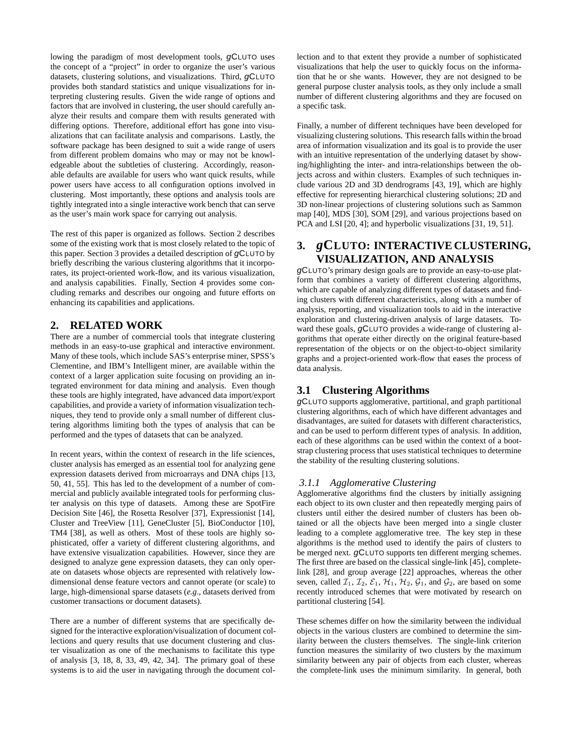lowing the paradigm of most development tools, *g*CLUTO uses the concept of a "project" in order to organize the user's various datasets, clustering solutions, and visualizations. Third, *g*CLUTO provides both standard statistics and unique visualizations for interpreting clustering results. Given the wide range of options and factors that are involved in clustering, the user should carefully analyze their results and compare them with results generated with differing options. Therefore, additional effort has gone into visualizations that can facilitate analysis and comparisons. Lastly, the software package has been designed to suit a wide range of users from different problem domains who may or may not be knowledgeable about the subtleties of clustering. Accordingly, reasonable defaults are available for users who want quick results, while power users have access to all configuration options involved in clustering. Most importantly, these options and analysis tools are tightly integrated into a single interactive work bench that can serve as the user's main work space for carrying out analysis.

The rest of this paper is organized as follows. Section 2 describes some of the existing work that is most closely related to the topic of this paper. Section 3 provides a detailed description of *g*CLUTO by briefly describing the various clustering algorithms that it incorporates, its project-oriented work-flow, and its various visualization, and analysis capabilities. Finally, Section 4 provides some concluding remarks and describes our ongoing and future efforts on enhancing its capabilities and applications.

# **2. RELATED WORK**

There are a number of commercial tools that integrate clustering methods in an easy-to-use graphical and interactive environment. Many of these tools, which include SAS's enterprise miner, SPSS's Clementine, and IBM's Intelligent miner, are available within the context of a larger application suite focusing on providing an integrated environment for data mining and analysis. Even though these tools are highly integrated, have advanced data import/export capabilities, and provide a variety of information visualization techniques, they tend to provide only a small number of different clustering algorithms limiting both the types of analysis that can be performed and the types of datasets that can be analyzed.

In recent years, within the context of research in the life sciences, cluster analysis has emerged as an essential tool for analyzing gene expression datasets derived from microarrays and DNA chips [13, 50, 41, 55]. This has led to the development of a number of commercial and publicly available integrated tools for performing cluster analysis on this type of datasets. Among these are SpotFire Decision Site [46], the Rosetta Resolver [37], Expressionist [14], Cluster and TreeView [11], GeneCluster [5], BioConductor [10], TM4 [38], as well as others. Most of these tools are highly sophisticated, offer a variety of different clustering algorithms, and have extensive visualization capabilities. However, since they are designed to analyze gene expression datasets, they can only operate on datasets whose objects are represented with relatively lowdimensional dense feature vectors and cannot operate (or scale) to large, high-dimensional sparse datasets (*e.g*., datasets derived from customer transactions or document datasets).

There are a number of different systems that are specifically designed for the interactive exploration/visualization of document collections and query results that use document clustering and cluster visualization as one of the mechanisms to facilitate this type of analysis [3, 18, 8, 33, 49, 42, 34]. The primary goal of these systems is to aid the user in navigating through the document collection and to that extent they provide a number of sophisticated visualizations that help the user to quickly focus on the information that he or she wants. However, they are not designed to be general purpose cluster analysis tools, as they only include a small number of different clustering algorithms and they are focused on a specific task.

Finally, a number of different techniques have been developed for visualizing clustering solutions. This research falls within the broad area of information visualization and its goal is to provide the user with an intuitive representation of the underlying dataset by showing/highlighting the inter- and intra-relationships between the objects across and within clusters. Examples of such techniques include various 2D and 3D dendrograms [43, 19], which are highly effective for representing hierarchical clustering solutions; 2D and 3D non-linear projections of clustering solutions such as Sammon map [40], MDS [30], SOM [29], and various projections based on PCA and LSI [20, 4]; and hyperbolic visualizations [31, 19, 51].

# **3.** *g***CLUTO: INTERACTIVE CLUSTERING, VISUALIZATION, AND ANALYSIS**

*g*CLUTO's primary design goals are to provide an easy-to-use platform that combines a variety of different clustering algorithms, which are capable of analyzing different types of datasets and finding clusters with different characteristics, along with a number of analysis, reporting, and visualization tools to aid in the interactive exploration and clustering-driven analysis of large datasets. Toward these goals, *g*CLUTO provides a wide-range of clustering algorithms that operate either directly on the original feature-based representation of the objects or on the object-to-object similarity graphs and a project-oriented work-flow that eases the process of data analysis.

# **3.1 Clustering Algorithms**

*g*CLUTO supports agglomerative, partitional, and graph partitional clustering algorithms, each of which have different advantages and disadvantages, are suited for datasets with different characteristics, and can be used to perform different types of analysis. In addition, each of these algorithms can be used within the context of a bootstrap clustering process that uses statistical techniques to determine the stability of the resulting clustering solutions.

# *3.1.1 Agglomerative Clustering*

Agglomerative algorithms find the clusters by initially assigning each object to its own cluster and then repeatedly merging pairs of clusters until either the desired number of clusters has been obtained or all the objects have been merged into a single cluster leading to a complete agglomerative tree. The key step in these algorithms is the method used to identify the pairs of clusters to be merged next. *g*CLUTO supports ten different merging schemes. The first three are based on the classical single-link [45], completelink [28], and group average [22] approaches, whereas the other seven, called  $\mathcal{I}_1$ ,  $\mathcal{I}_2$ ,  $\mathcal{E}_1$ ,  $\mathcal{H}_1$ ,  $\mathcal{H}_2$ ,  $\mathcal{G}_1$ , and  $\mathcal{G}_2$ , are based on some recently introduced schemes that were motivated by research on partitional clustering [54].

These schemes differ on how the similarity between the individual objects in the various clusters are combined to determine the similarity between the clusters themselves. The single-link criterion function measures the similarity of two clusters by the maximum similarity between any pair of objects from each cluster, whereas the complete-link uses the minimum similarity. In general, both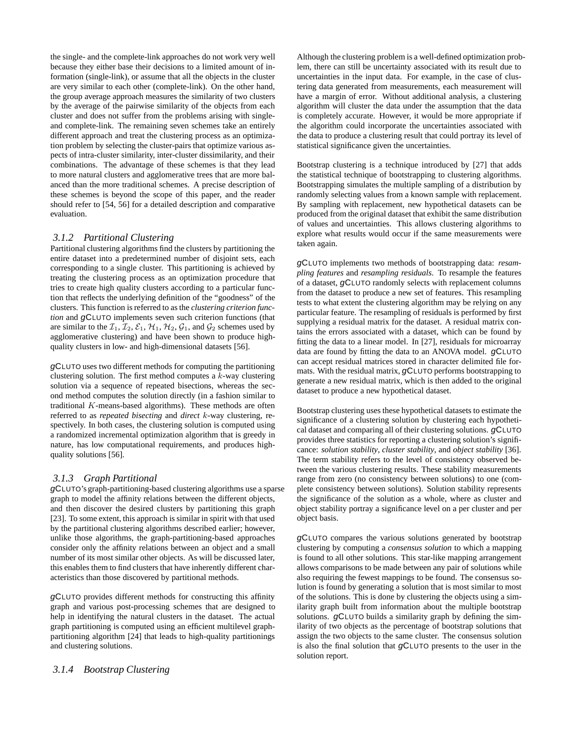the single- and the complete-link approaches do not work very well because they either base their decisions to a limited amount of information (single-link), or assume that all the objects in the cluster are very similar to each other (complete-link). On the other hand, the group average approach measures the similarity of two clusters by the average of the pairwise similarity of the objects from each cluster and does not suffer from the problems arising with singleand complete-link. The remaining seven schemes take an entirely different approach and treat the clustering process as an optimization problem by selecting the cluster-pairs that optimize various aspects of intra-cluster similarity, inter-cluster dissimilarity, and their combinations. The advantage of these schemes is that they lead to more natural clusters and agglomerative trees that are more balanced than the more traditional schemes. A precise description of these schemes is beyond the scope of this paper, and the reader should refer to [54, 56] for a detailed description and comparative evaluation.

### *3.1.2 Partitional Clustering*

Partitional clustering algorithms find the clusters by partitioning the entire dataset into a predetermined number of disjoint sets, each corresponding to a single cluster. This partitioning is achieved by treating the clustering process as an optimization procedure that tries to create high quality clusters according to a particular function that reflects the underlying definition of the "goodness" of the clusters. This function is referred to as the *clustering criterion function* and *g*CLUTO implements seven such criterion functions (that are similar to the  $\mathcal{I}_1$ ,  $\mathcal{I}_2$ ,  $\mathcal{E}_1$ ,  $\mathcal{H}_1$ ,  $\mathcal{H}_2$ ,  $\mathcal{G}_1$ , and  $\mathcal{G}_2$  schemes used by agglomerative clustering) and have been shown to produce highquality clusters in low- and high-dimensional datasets [56].

*g*CLUTO uses two different methods for computing the partitioning clustering solution. The first method computes a  $k$ -way clustering solution via a sequence of repeated bisections, whereas the second method computes the solution directly (in a fashion similar to traditional  $K$ -means-based algorithms). These methods are often referred to as *repeated bisecting* and *direct* k-way clustering, respectively. In both cases, the clustering solution is computed using a randomized incremental optimization algorithm that is greedy in nature, has low computational requirements, and produces highquality solutions [56].

### *3.1.3 Graph Partitional*

*g*CLUTO's graph-partitioning-based clustering algorithms use a sparse graph to model the affinity relations between the different objects, and then discover the desired clusters by partitioning this graph [23]. To some extent, this approach is similar in spirit with that used by the partitional clustering algorithms described earlier; however, unlike those algorithms, the graph-partitioning-based approaches consider only the affinity relations between an object and a small number of its most similar other objects. As will be discussed later, this enables them to find clusters that have inherently different characteristics than those discovered by partitional methods.

*g*CLUTO provides different methods for constructing this affinity graph and various post-processing schemes that are designed to help in identifying the natural clusters in the dataset. The actual graph partitioning is computed using an efficient multilevel graphpartitioning algorithm [24] that leads to high-quality partitionings and clustering solutions.

### *3.1.4 Bootstrap Clustering*

Although the clustering problem is a well-defined optimization problem, there can still be uncertainty associated with its result due to uncertainties in the input data. For example, in the case of clustering data generated from measurements, each measurement will have a margin of error. Without additional analysis, a clustering algorithm will cluster the data under the assumption that the data is completely accurate. However, it would be more appropriate if the algorithm could incorporate the uncertainties associated with the data to produce a clustering result that could portray its level of statistical significance given the uncertainties.

Bootstrap clustering is a technique introduced by [27] that adds the statistical technique of bootstrapping to clustering algorithms. Bootstrapping simulates the multiple sampling of a distribution by randomly selecting values from a known sample with replacement. By sampling with replacement, new hypothetical datasets can be produced from the original dataset that exhibit the same distribution of values and uncertainties. This allows clustering algorithms to explore what results would occur if the same measurements were taken again.

*g*CLUTO implements two methods of bootstrapping data: *resampling features* and *resampling residuals*. To resample the features of a dataset, *g*CLUTO randomly selects with replacement columns from the dataset to produce a new set of features. This resampling tests to what extent the clustering algorithm may be relying on any particular feature. The resampling of residuals is performed by first supplying a residual matrix for the dataset. A residual matrix contains the errors associated with a dataset, which can be found by fitting the data to a linear model. In [27], residuals for microarray data are found by fitting the data to an ANOVA model. *g*CLUTO can accept residual matrices stored in character delimited file formats. With the residual matrix, *g*CLUTO performs bootstrapping to generate a new residual matrix, which is then added to the original dataset to produce a new hypothetical dataset.

Bootstrap clustering uses these hypothetical datasets to estimate the significance of a clustering solution by clustering each hypothetical dataset and comparing all of their clustering solutions. *g*CLUTO provides three statistics for reporting a clustering solution's significance: *solution stability*, *cluster stability*, and *object stability* [36]. The term stability refers to the level of consistency observed between the various clustering results. These stability measurements range from zero (no consistency between solutions) to one (complete consistency between solutions). Solution stability represents the significance of the solution as a whole, where as cluster and object stability portray a significance level on a per cluster and per object basis.

*g*CLUTO compares the various solutions generated by bootstrap clustering by computing a *consensus solution* to which a mapping is found to all other solutions. This star-like mapping arrangement allows comparisons to be made between any pair of solutions while also requiring the fewest mappings to be found. The consensus solution is found by generating a solution that is most similar to most of the solutions. This is done by clustering the objects using a similarity graph built from information about the multiple bootstrap solutions. *g*CLUTO builds a similarity graph by defining the similarity of two objects as the percentage of bootstrap solutions that assign the two objects to the same cluster. The consensus solution is also the final solution that *g*CLUTO presents to the user in the solution report.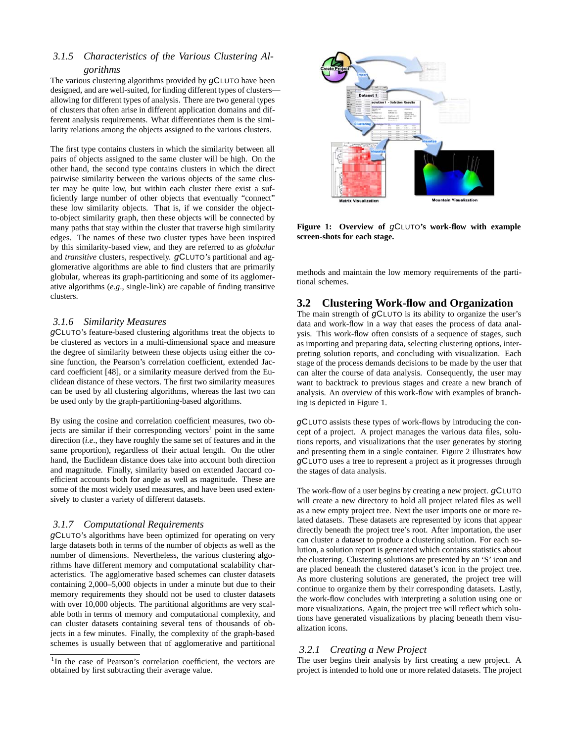### *3.1.5 Characteristics of the Various Clustering Algorithms*

The various clustering algorithms provided by *g*CLUTO have been designed, and are well-suited, for finding different types of clusters allowing for different types of analysis. There are two general types of clusters that often arise in different application domains and different analysis requirements. What differentiates them is the similarity relations among the objects assigned to the various clusters.

The first type contains clusters in which the similarity between all pairs of objects assigned to the same cluster will be high. On the other hand, the second type contains clusters in which the direct pairwise similarity between the various objects of the same cluster may be quite low, but within each cluster there exist a sufficiently large number of other objects that eventually "connect" these low similarity objects. That is, if we consider the objectto-object similarity graph, then these objects will be connected by many paths that stay within the cluster that traverse high similarity edges. The names of these two cluster types have been inspired by this similarity-based view, and they are referred to as *globular* and *transitive* clusters, respectively. *g*CLUTO's partitional and agglomerative algorithms are able to find clusters that are primarily globular, whereas its graph-partitioning and some of its agglomerative algorithms (*e.g*., single-link) are capable of finding transitive clusters.

### *3.1.6 Similarity Measures*

*g*CLUTO's feature-based clustering algorithms treat the objects to be clustered as vectors in a multi-dimensional space and measure the degree of similarity between these objects using either the cosine function, the Pearson's correlation coefficient, extended Jaccard coefficient [48], or a similarity measure derived from the Euclidean distance of these vectors. The first two similarity measures can be used by all clustering algorithms, whereas the last two can be used only by the graph-partitioning-based algorithms.

By using the cosine and correlation coefficient measures, two objects are similar if their corresponding vectors<sup>1</sup> point in the same direction (*i.e*., they have roughly the same set of features and in the same proportion), regardless of their actual length. On the other hand, the Euclidean distance does take into account both direction and magnitude. Finally, similarity based on extended Jaccard coefficient accounts both for angle as well as magnitude. These are some of the most widely used measures, and have been used extensively to cluster a variety of different datasets.

### *3.1.7 Computational Requirements*

*g*CLUTO's algorithms have been optimized for operating on very large datasets both in terms of the number of objects as well as the number of dimensions. Nevertheless, the various clustering algorithms have different memory and computational scalability characteristics. The agglomerative based schemes can cluster datasets containing 2,000–5,000 objects in under a minute but due to their memory requirements they should not be used to cluster datasets with over 10,000 objects. The partitional algorithms are very scalable both in terms of memory and computational complexity, and can cluster datasets containing several tens of thousands of objects in a few minutes. Finally, the complexity of the graph-based schemes is usually between that of agglomerative and partitional



**Figure 1: Overview of** *g*CLUTO**'s work-flow with example screen-shots for each stage.**

methods and maintain the low memory requirements of the partitional schemes.

# **3.2 Clustering Work-flow and Organization**

The main strength of *g*CLUTO is its ability to organize the user's data and work-flow in a way that eases the process of data analysis. This work-flow often consists of a sequence of stages, such as importing and preparing data, selecting clustering options, interpreting solution reports, and concluding with visualization. Each stage of the process demands decisions to be made by the user that can alter the course of data analysis. Consequently, the user may want to backtrack to previous stages and create a new branch of analysis. An overview of this work-flow with examples of branching is depicted in Figure 1.

*g*CLUTO assists these types of work-flows by introducing the concept of a project. A project manages the various data files, solutions reports, and visualizations that the user generates by storing and presenting them in a single container. Figure 2 illustrates how *g*CLUTO uses a tree to represent a project as it progresses through the stages of data analysis.

The work-flow of a user begins by creating a new project. *g*CLUTO will create a new directory to hold all project related files as well as a new empty project tree. Next the user imports one or more related datasets. These datasets are represented by icons that appear directly beneath the project tree's root. After importation, the user can cluster a dataset to produce a clustering solution. For each solution, a solution report is generated which contains statistics about the clustering. Clustering solutions are presented by an 'S' icon and are placed beneath the clustered dataset's icon in the project tree. As more clustering solutions are generated, the project tree will continue to organize them by their corresponding datasets. Lastly, the work-flow concludes with interpreting a solution using one or more visualizations. Again, the project tree will reflect which solutions have generated visualizations by placing beneath them visualization icons.

### *3.2.1 Creating a New Project*

The user begins their analysis by first creating a new project. A project is intended to hold one or more related datasets. The project

<sup>&</sup>lt;sup>1</sup>In the case of Pearson's correlation coefficient, the vectors are obtained by first subtracting their average value.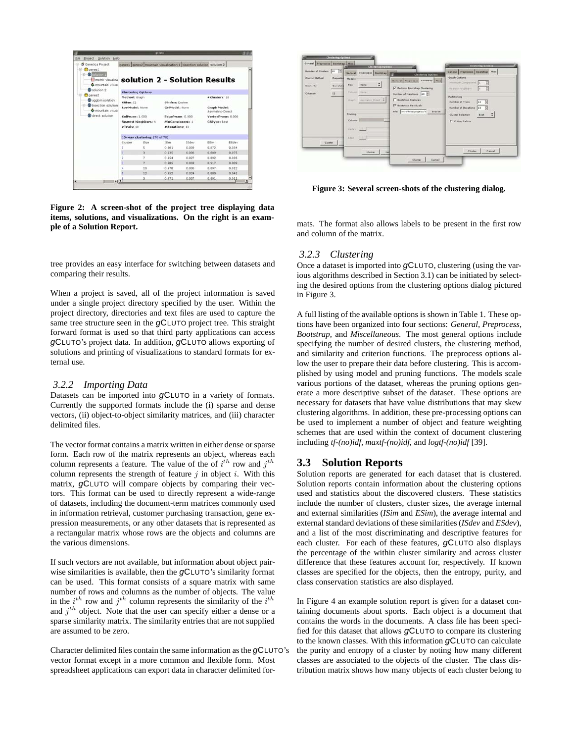| Ele<br>Project Solution<br>Help                                      |                           | <b>aClate</b>                 |                  |                                                                      |                                  |        |  |  |
|----------------------------------------------------------------------|---------------------------|-------------------------------|------------------|----------------------------------------------------------------------|----------------------------------|--------|--|--|
| $\Theta$<br>Genetics Project<br><b>O</b> genes1<br>$\Theta$ <b>S</b> |                           |                               |                  | genest genes2 mountain visualization 1 bisection solution solution 2 |                                  |        |  |  |
| matric visualiza<br>Companhain visual                                |                           |                               |                  | solution 2 - Solution Results                                        |                                  |        |  |  |
| <b>C</b> noitubion 2                                                 | <b>Clustering Options</b> |                               |                  |                                                                      |                                  |        |  |  |
| <b>C</b> l genes2                                                    | Method: Graph             |                               |                  |                                                                      | #Clusters: 10                    |        |  |  |
| applom solution                                                      | CRfun: 12                 |                               | Simfun: Cosine   |                                                                      |                                  |        |  |  |
| El Stisection solution<br><b>O</b> mountain visual                   | RowModel: None            |                               | ColModel: None   |                                                                      | Graph Model:<br>Asymetric-Direct |        |  |  |
| <b>B</b> drect solution                                              | ColPrune: 1.000           |                               | EdgePrune: 0.000 |                                                                      | VertexPrune: 0.000               |        |  |  |
|                                                                      | Nearest Nieghbors: 4      |                               | MinComponent: 1  |                                                                      | CSType: hest                     |        |  |  |
|                                                                      | #Trials: 10               |                               | #Iterations: 10  |                                                                      |                                  |        |  |  |
|                                                                      |                           | 10-way clustering: [70 of 70] |                  |                                                                      |                                  |        |  |  |
|                                                                      | Cluster                   | Size                          | Fillen.          | 19dev                                                                | ESim                             | ESdev. |  |  |
|                                                                      | ö                         | t                             | 0.961            | 0.009                                                                | 0.872                            | 0.034  |  |  |
|                                                                      | ï                         | 3                             | 0.935            | 0.006                                                                | 0.809                            | 0.075  |  |  |
|                                                                      | $\overline{a}$            | y                             | 0.954            | 0.027                                                                | 0.892                            | 0.035  |  |  |
|                                                                      |                           | ÷.                            | 0.905            | 0.003                                                                | 0.917                            | 0.009  |  |  |
|                                                                      |                           | 30                            | 0.978            | 0.006                                                                | 0.897                            | 0.012  |  |  |
|                                                                      | s                         | 12                            | 0.952            | 0.024                                                                | 0.880                            | 0.041  |  |  |
| $-1 - 1$<br>$\bullet$                                                |                           |                               | 0.971            | 0.007                                                                | 0.901                            | 0.011  |  |  |

**Figure 2: A screen-shot of the project tree displaying data items, solutions, and visualizations. On the right is an example of a Solution Report.**

tree provides an easy interface for switching between datasets and comparing their results.

When a project is saved, all of the project information is saved under a single project directory specified by the user. Within the project directory, directories and text files are used to capture the same tree structure seen in the *g*CLUTO project tree. This straight forward format is used so that third party applications can access *g*CLUTO's project data. In addition, *g*CLUTO allows exporting of solutions and printing of visualizations to standard formats for external use.

#### *3.2.2 Importing Data*

Datasets can be imported into *g*CLUTO in a variety of formats. Currently the supported formats include the (i) sparse and dense vectors, (ii) object-to-object similarity matrices, and (iii) character delimited files.

The vector format contains a matrix written in either dense or sparse form. Each row of the matrix represents an object, whereas each column represents a feature. The value of the of  $i^{th}$  row and  $j^{th}$ column represents the strength of feature  $j$  in object  $i$ . With this matrix, *g*CLUTO will compare objects by comparing their vectors. This format can be used to directly represent a wide-range of datasets, including the document-term matrices commonly used in information retrieval, customer purchasing transaction, gene expression measurements, or any other datasets that is represented as a rectangular matrix whose rows are the objects and columns are the various dimensions.

If such vectors are not available, but information about object pairwise similarities is available, then the *g*CLUTO's similarity format can be used. This format consists of a square matrix with same number of rows and columns as the number of objects. The value in the  $i^{th}$  row and  $j^{th}$  column represents the similarity of the  $i^{th}$ and j*th* object. Note that the user can specify either a dense or a sparse similarity matrix. The similarity entries that are not supplied are assumed to be zero.

Character delimited files contain the same information as the *g*CLUTO's vector format except in a more common and flexible form. Most spreadsheet applications can export data in character delimited for-



**Figure 3: Several screen-shots of the clustering dialog.**

mats. The format also allows labels to be present in the first row and column of the matrix.

#### *3.2.3 Clustering*

Once a dataset is imported into *g*CLUTO, clustering (using the various algorithms described in Section 3.1) can be initiated by selecting the desired options from the clustering options dialog pictured in Figure 3.

A full listing of the available options is shown in Table 1. These options have been organized into four sections: *General*, *Preprocess*, *Bootstrap*, and *Miscellaneous*. The most general options include specifying the number of desired clusters, the clustering method, and similarity and criterion functions. The preprocess options allow the user to prepare their data before clustering. This is accomplished by using model and pruning functions. The models scale various portions of the dataset, whereas the pruning options generate a more descriptive subset of the dataset. These options are necessary for datasets that have value distributions that may skew clustering algorithms. In addition, these pre-processing options can be used to implement a number of object and feature weighting schemes that are used within the context of document clustering including *tf-(no)idf*, *maxtf-(no)idf*, and *logtf-(no)idf* [39].

### **3.3 Solution Reports**

Solution reports are generated for each dataset that is clustered. Solution reports contain information about the clustering options used and statistics about the discovered clusters. These statistics include the number of clusters, cluster sizes, the average internal and external similarities (*ISim* and *ESim*), the average internal and external standard deviations of these similarities (*ISdev* and *ESdev*), and a list of the most discriminating and descriptive features for each cluster. For each of these features, *g*CLUTO also displays the percentage of the within cluster similarity and across cluster difference that these features account for, respectively. If known classes are specified for the objects, then the entropy, purity, and class conservation statistics are also displayed.

In Figure 4 an example solution report is given for a dataset containing documents about sports. Each object is a document that contains the words in the documents. A class file has been specified for this dataset that allows *g*CLUTO to compare its clustering to the known classes. With this information *g*CLUTO can calculate the purity and entropy of a cluster by noting how many different classes are associated to the objects of the cluster. The class distribution matrix shows how many objects of each cluster belong to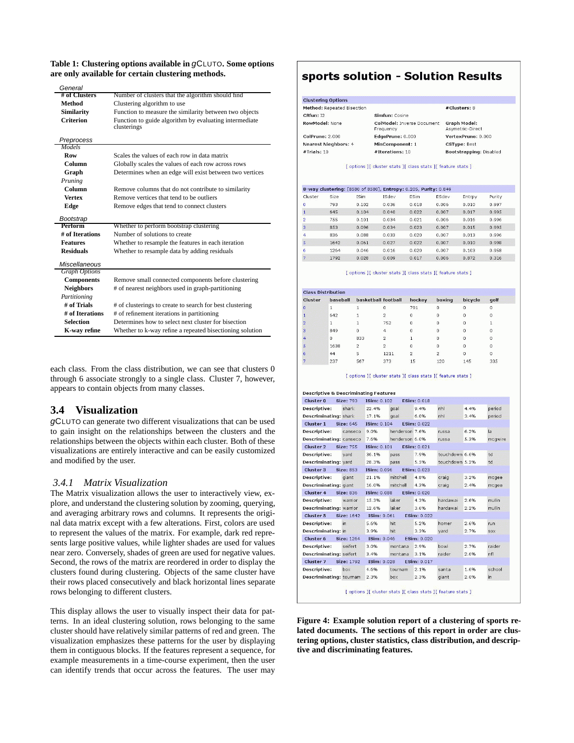#### **Table 1: Clustering options available in** *g*CLUTO**. Some options are only available for certain clustering methods.**

| General              |                                                                       |
|----------------------|-----------------------------------------------------------------------|
| # of Clusters        | Number of clusters that the algorithm should find                     |
| <b>Method</b>        | Clustering algorithm to use                                           |
| <b>Similarity</b>    | Function to measure the similarity between two objects                |
| <b>Criterion</b>     | Function to guide algorithm by evaluating intermediate<br>clusterings |
| Preprocess           |                                                                       |
| Models               |                                                                       |
| Row                  | Scales the values of each row in data matrix                          |
| Column               | Globally scales the values of each row across rows                    |
| Graph                | Determines when an edge will exist between two vertices               |
| Pruning              |                                                                       |
| Column               | Remove columns that do not contribute to similarity                   |
| <b>Vertex</b>        | Remove vertices that tend to be outliers                              |
| Edge                 | Remove edges that tend to connect clusters                            |
| Bootstrap            |                                                                       |
| Perform              | Whether to perform bootstrap clustering                               |
| # of Iterations      | Number of solutions to create                                         |
| <b>Features</b>      | Whether to resample the features in each iteration                    |
| <b>Residuals</b>     | Whether to resample data by adding residuals                          |
| <b>Miscellaneous</b> |                                                                       |
| <b>Graph Options</b> |                                                                       |
| <b>Components</b>    | Remove small connected components before clustering                   |
| <b>Neighbors</b>     | # of nearest neighbors used in graph-partitioning                     |
| Partitioning         |                                                                       |
| # of Trials          | # of clusterings to create to search for best clustering              |
| # of Iterations      | # of refinement iterations in partitioning                            |
| <b>Selection</b>     | Determines how to select next cluster for bisection                   |
| K-way refine         | Whether to k-way refine a repeated bisectioning solution              |

each class. From the class distribution, we can see that clusters 0 through 6 associate strongly to a single class. Cluster 7, however, appears to contain objects from many classes.

# **3.4 Visualization**

*g*CLUTO can generate two different visualizations that can be used to gain insight on the relationships between the clusters and the relationships between the objects within each cluster. Both of these visualizations are entirely interactive and can be easily customized and modified by the user.

### *3.4.1 Matrix Visualization*

The Matrix visualization allows the user to interactively view, explore, and understand the clustering solution by zooming, querying, and averaging arbitrary rows and columns. It represents the original data matrix except with a few alterations. First, colors are used to represent the values of the matrix. For example, dark red represents large positive values, while lighter shades are used for values near zero. Conversely, shades of green are used for negative values. Second, the rows of the matrix are reordered in order to display the clusters found during clustering. Objects of the same cluster have their rows placed consecutively and black horizontal lines separate rows belonging to different clusters.

This display allows the user to visually inspect their data for patterns. In an ideal clustering solution, rows belonging to the same cluster should have relatively similar patterns of red and green. The visualization emphasizes these patterns for the user by displaying them in contiguous blocks. If the features represent a sequence, for example measurements in a time-course experiment, then the user can identify trends that occur across the features. The user may

# sports solution - Solution Results

| <b>Clustering Options</b>   |                                         |                                         |
|-----------------------------|-----------------------------------------|-----------------------------------------|
| Method: Repeated Bisection  |                                         | #Clusters: 8                            |
| CRfun: 12                   | Simfun: Cosine                          |                                         |
| RowModel: None              | ColModel: Inverse Document<br>Frequency | <b>Graph Model:</b><br>Asymetric-Direct |
| <b>ColPrune: 2.000</b>      | EdgePrune: 0.000                        | VertexPrune: 0.000                      |
| <b>Nearest Nieghbors: 4</b> | MinComponent: 1                         | <b>CSType: Best</b>                     |
| #Trials: 10                 | #Iterations: 10                         | Bootstrapping: Disabled                 |

[ options ][ cluster stats ][ class stats ][ feature stats ]

|                |      | 8-way clustering: [8580 of 8580], Entropy: 0.205, Purity: 0.849 |       |       |       |        |        |
|----------------|------|-----------------------------------------------------------------|-------|-------|-------|--------|--------|
| Cluster        | Size | ISim                                                            | ISdev | ESim  | ESdev | Entrpy | Purity |
| $\Omega$       | 793  | 0.102                                                           | 0.036 | 0.018 | 0.006 | 0.010  | 0.997  |
| 1              | 645  | 0.104                                                           | 0.040 | 0.022 | 0.007 | 0.017  | 0.995  |
| 2              | 755  | 0.101                                                           | 0.034 | 0.021 | 0.006 | 0.016  | 0.996  |
| 3              | 853  | 0.096                                                           | 0.034 | 0.023 | 0.007 | 0.015  | 0.995  |
| $\overline{4}$ | 836  | 0.088                                                           | 0.033 | 0.020 | 0.007 | 0.013  | 0.996  |
| 5              | 1642 | 0.061                                                           | 0.027 | 0.022 | 0.007 | 0.010  | 0.998  |
| 6              | 1264 | 0.046                                                           | 0.016 | 0.020 | 0.007 | 0.103  | 0.958  |
| 7              | 1792 | 0.028                                                           | 0.009 | 0.017 | 0.006 | 0.872  | 0.316  |
|                |      |                                                                 |       |       |       |        |        |

#### [ options ][ cluster stats ][ class stats ][ feature stats ]

| Cluster | baseball | basketball football |                | hockey   | boxing | bicycle  | golf |
|---------|----------|---------------------|----------------|----------|--------|----------|------|
|         |          |                     | Ω              | 791      | 0      | $\Omega$ |      |
|         | 642      |                     | 2              | $\Omega$ | Ω      | O        |      |
|         |          |                     | 752            | 0        | 0      | n        |      |
|         | 849      | 0                   | 4              | $\Omega$ | 0      | O        |      |
|         | O        | 833                 | $\overline{a}$ |          | O      | n        |      |
| 5       | 1638     | $\mathcal{P}$       | 2              | $\Omega$ | Ō      | Ō        |      |
| 6       | 44       | 5                   | 1211           | 2        | 2      | 0        |      |
|         | 237      | 567                 | 373            | 15       | 120    | 145      | 335  |

[ options ][ cluster stats ][ class stats ][ feature stats ]

|                         |                   | <b>Descriptive &amp; Descriminating Features</b> |                |                    |                |      |               |
|-------------------------|-------------------|--------------------------------------------------|----------------|--------------------|----------------|------|---------------|
| Cluster 0               | <b>Size: 793</b>  | ISim: 0.102                                      |                | ESim: 0.018        |                |      |               |
| Descriptive:            | shark             | 22.4%                                            | goal           | 9.4%               | nhl            | 4.4% | period        |
| Descriminating: shark   |                   | 17.1%                                            | goal           | 6.0%               | nhl            | 3.4% | period        |
| Cluster 1               | <b>Size: 645</b>  | ISim: 0.104                                      |                | ESim: 0.022        |                |      |               |
| Descriptive:            | canseco           | 9.0%                                             | henderson 7.6% |                    | russa.         | 6.2% | la            |
| Descriminating: canseco |                   | 7.6%                                             | henderson 6.0% |                    | russa          | 5.3% | mcqwire       |
| Cluster <sub>2</sub>    | <b>Size: 755</b>  | ISim: 0.101                                      |                | <b>ESim: 0.021</b> |                |      |               |
| Descriptive:            | vard              | 36.1%                                            | pass           | 7.9%               | touchdown 6.6% |      | td            |
| Descriminating: vard    |                   | 28.3%                                            | pass           | 5.5%               | touchdown 5.2% |      | td            |
| <b>Cluster 3</b>        | <b>Size: 853</b>  | ISim: 0.096                                      |                | <b>ESim: 0.023</b> |                |      |               |
| Descriptive:            | giant             | 21.1%                                            | mitchell       | 4.8%               | craig          | 3.2% | mcgee         |
| Descriminating: giant   |                   | 16.0%                                            | mitchell       | 4.3%               | craig          | 2.4% | mcgee         |
| <b>Cluster 4</b>        | <b>Size: 836</b>  | ISim: 0.088                                      |                | ESim: 0.020        |                |      |               |
| Descriptive:            | warrior           | 15.3%                                            | laker          | 4.3%               | hardawai       | 2.6% | mullin        |
| Descriminating: warrior |                   | 12.6%                                            | laker          | 3.6%               | hardawai       | 2.2% | <i>mullin</i> |
| <b>Cluster 5</b>        | Size: 1642        | ISim: 0.061                                      |                | <b>ESim: 0.022</b> |                |      |               |
| Descriptive:            | in                | 5.6%                                             | hit            | 5.2%               | homer          | 2.6% | run           |
| Descriminating: in      |                   | 3.9%                                             | hit            | 3.3%               | vard           | 2.7% | SOX           |
| Cluster 6               | Size: 1264        | ISim: 0.046                                      |                | ESim: 0.020        |                |      |               |
| Descriptive:            | seifert           | 3.0%                                             | montana        | 2.9%               | bowl           | 2.7% | raider.       |
| Descriminating: seifert |                   | 3.4%                                             | montana        | 3.1%               | raider         | 2.6% | nfl           |
| <b>Cluster 7</b>        | <b>Size: 1792</b> | ISim: 0.028                                      |                | ESim: 0.017        |                |      |               |
| Descriptive:            | box               | 4.6%                                             | tournam        | 2.1%               | santa          | 1.6% | school        |
| Descriminating: tournam |                   | 2.3%                                             | box            | 2.3%               | giant          | 2.0% | in.           |

**Figure 4: Example solution report of a clustering of sports related documents. The sections of this report in order are clustering options, cluster statistics, class distribution, and descriptive and discriminating features.**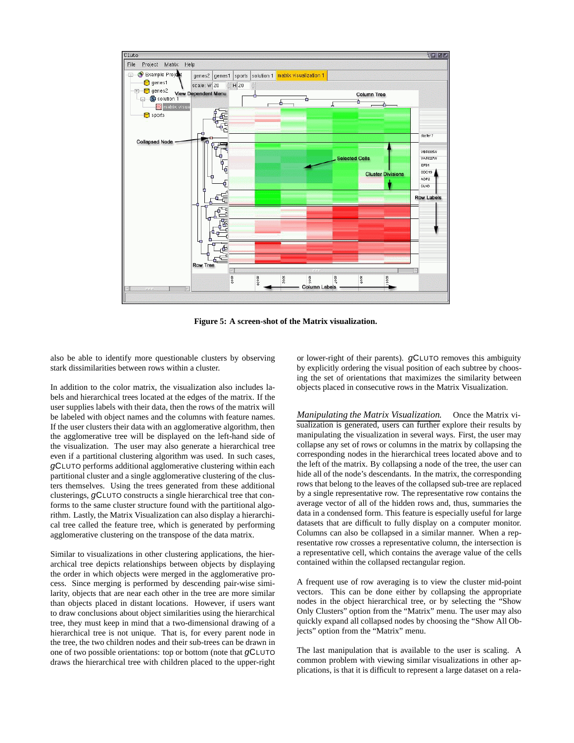

**Figure 5: A screen-shot of the Matrix visualization.**

also be able to identify more questionable clusters by observing stark dissimilarities between rows within a cluster.

In addition to the color matrix, the visualization also includes labels and hierarchical trees located at the edges of the matrix. If the user supplies labels with their data, then the rows of the matrix will be labeled with object names and the columns with feature names. If the user clusters their data with an agglomerative algorithm, then the agglomerative tree will be displayed on the left-hand side of the visualization. The user may also generate a hierarchical tree even if a partitional clustering algorithm was used. In such cases, *g*CLUTO performs additional agglomerative clustering within each partitional cluster and a single agglomerative clustering of the clusters themselves. Using the trees generated from these additional clusterings, *g*CLUTO constructs a single hierarchical tree that conforms to the same cluster structure found with the partitional algorithm. Lastly, the Matrix Visualization can also display a hierarchical tree called the feature tree, which is generated by performing agglomerative clustering on the transpose of the data matrix.

Similar to visualizations in other clustering applications, the hierarchical tree depicts relationships between objects by displaying the order in which objects were merged in the agglomerative process. Since merging is performed by descending pair-wise similarity, objects that are near each other in the tree are more similar than objects placed in distant locations. However, if users want to draw conclusions about object similarities using the hierarchical tree, they must keep in mind that a two-dimensional drawing of a hierarchical tree is not unique. That is, for every parent node in the tree, the two children nodes and their sub-trees can be drawn in one of two possible orientations: top or bottom (note that *g*CLUTO draws the hierarchical tree with children placed to the upper-right or lower-right of their parents). *g*CLUTO removes this ambiguity by explicitly ordering the visual position of each subtree by choosing the set of orientations that maximizes the similarity between objects placed in consecutive rows in the Matrix Visualization.

*Manipulating the Matrix Visualization.* Once the Matrix visualization is generated, users can further explore their results by manipulating the visualization in several ways. First, the user may collapse any set of rows or columns in the matrix by collapsing the corresponding nodes in the hierarchical trees located above and to the left of the matrix. By collapsing a node of the tree, the user can hide all of the node's descendants. In the matrix, the corresponding rows that belong to the leaves of the collapsed sub-tree are replaced by a single representative row. The representative row contains the average vector of all of the hidden rows and, thus, summaries the data in a condensed form. This feature is especially useful for large datasets that are difficult to fully display on a computer monitor. Columns can also be collapsed in a similar manner. When a representative row crosses a representative column, the intersection is a representative cell, which contains the average value of the cells contained within the collapsed rectangular region.

A frequent use of row averaging is to view the cluster mid-point vectors. This can be done either by collapsing the appropriate nodes in the object hierarchical tree, or by selecting the "Show Only Clusters" option from the "Matrix" menu. The user may also quickly expand all collapsed nodes by choosing the "Show All Objects" option from the "Matrix" menu.

The last manipulation that is available to the user is scaling. A common problem with viewing similar visualizations in other applications, is that it is difficult to represent a large dataset on a rela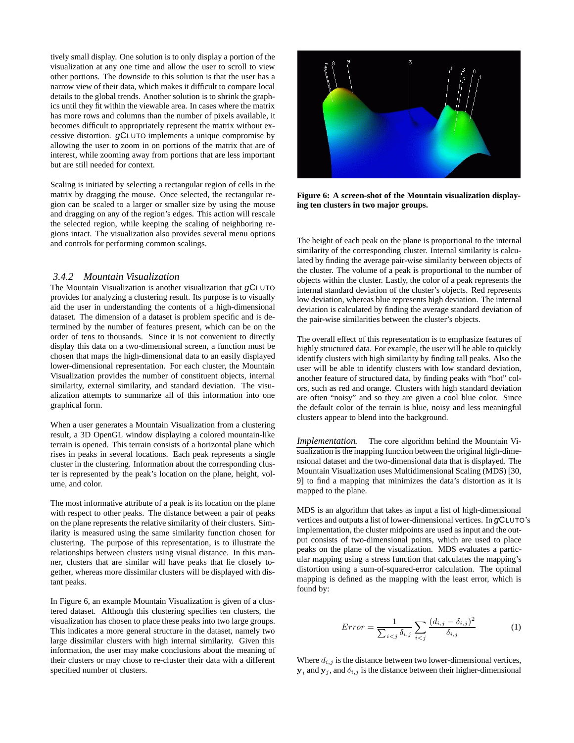tively small display. One solution is to only display a portion of the visualization at any one time and allow the user to scroll to view other portions. The downside to this solution is that the user has a narrow view of their data, which makes it difficult to compare local details to the global trends. Another solution is to shrink the graphics until they fit within the viewable area. In cases where the matrix has more rows and columns than the number of pixels available, it becomes difficult to appropriately represent the matrix without excessive distortion. *g*CLUTO implements a unique compromise by allowing the user to zoom in on portions of the matrix that are of interest, while zooming away from portions that are less important but are still needed for context.

Scaling is initiated by selecting a rectangular region of cells in the matrix by dragging the mouse. Once selected, the rectangular region can be scaled to a larger or smaller size by using the mouse and dragging on any of the region's edges. This action will rescale the selected region, while keeping the scaling of neighboring regions intact. The visualization also provides several menu options and controls for performing common scalings.

#### *3.4.2 Mountain Visualization*

The Mountain Visualization is another visualization that *g*CLUTO provides for analyzing a clustering result. Its purpose is to visually aid the user in understanding the contents of a high-dimensional dataset. The dimension of a dataset is problem specific and is determined by the number of features present, which can be on the order of tens to thousands. Since it is not convenient to directly display this data on a two-dimensional screen, a function must be chosen that maps the high-dimensional data to an easily displayed lower-dimensional representation. For each cluster, the Mountain Visualization provides the number of constituent objects, internal similarity, external similarity, and standard deviation. The visualization attempts to summarize all of this information into one graphical form.

When a user generates a Mountain Visualization from a clustering result, a 3D OpenGL window displaying a colored mountain-like terrain is opened. This terrain consists of a horizontal plane which rises in peaks in several locations. Each peak represents a single cluster in the clustering. Information about the corresponding cluster is represented by the peak's location on the plane, height, volume, and color.

The most informative attribute of a peak is its location on the plane with respect to other peaks. The distance between a pair of peaks on the plane represents the relative similarity of their clusters. Similarity is measured using the same similarity function chosen for clustering. The purpose of this representation, is to illustrate the relationships between clusters using visual distance. In this manner, clusters that are similar will have peaks that lie closely together, whereas more dissimilar clusters will be displayed with distant peaks.

In Figure 6, an example Mountain Visualization is given of a clustered dataset. Although this clustering specifies ten clusters, the visualization has chosen to place these peaks into two large groups. This indicates a more general structure in the dataset, namely two large dissimilar clusters with high internal similarity. Given this information, the user may make conclusions about the meaning of their clusters or may chose to re-cluster their data with a different specified number of clusters.



**Figure 6: A screen-shot of the Mountain visualization displaying ten clusters in two major groups.**

The height of each peak on the plane is proportional to the internal similarity of the corresponding cluster. Internal similarity is calculated by finding the average pair-wise similarity between objects of the cluster. The volume of a peak is proportional to the number of objects within the cluster. Lastly, the color of a peak represents the internal standard deviation of the cluster's objects. Red represents low deviation, whereas blue represents high deviation. The internal deviation is calculated by finding the average standard deviation of the pair-wise similarities between the cluster's objects.

The overall effect of this representation is to emphasize features of highly structured data. For example, the user will be able to quickly identify clusters with high similarity by finding tall peaks. Also the user will be able to identify clusters with low standard deviation, another feature of structured data, by finding peaks with "hot" colors, such as red and orange. Clusters with high standard deviation are often "noisy" and so they are given a cool blue color. Since the default color of the terrain is blue, noisy and less meaningful clusters appear to blend into the background.

*Implementation.* The core algorithm behind the Mountain Visualization is the mapping function between the original high-dimensional dataset and the two-dimensional data that is displayed. The Mountain Visualization uses Multidimensional Scaling (MDS) [30, 9] to find a mapping that minimizes the data's distortion as it is mapped to the plane.

MDS is an algorithm that takes as input a list of high-dimensional vertices and outputs a list of lower-dimensional vertices. In *g*CLUTO's implementation, the cluster midpoints are used as input and the output consists of two-dimensional points, which are used to place peaks on the plane of the visualization. MDS evaluates a particular mapping using a stress function that calculates the mapping's distortion using a sum-of-squared-error calculation. The optimal mapping is defined as the mapping with the least error, which is found by:

$$
Error = \frac{1}{\sum_{i < j} \delta_{i,j}} \sum_{i < j} \frac{(d_{i,j} - \delta_{i,j})^2}{\delta_{i,j}} \tag{1}
$$

Where  $d_{i,j}$  is the distance between two lower-dimensional vertices,  $y_i$  and  $y_j$ , and  $\delta_{i,j}$  is the distance between their higher-dimensional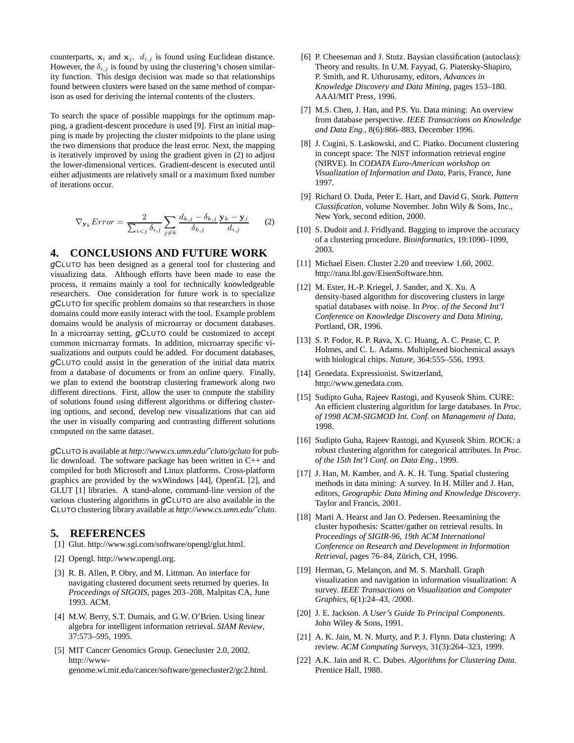counterparts,  $\mathbf{x}_i$  and  $\mathbf{x}_j$ .  $d_{i,j}$  is found using Euclidean distance. However, the  $\delta_{i,j}$  is found by using the clustering's chosen similarity function. This design decision was made so that relationships found between clusters were based on the same method of comparison as used for deriving the internal contents of the clusters.

To search the space of possible mappings for the optimum mapping, a gradient-descent procedure is used [9]. First an initial mapping is made by projecting the cluster midpoints to the plane using the two dimensions that produce the least error. Next, the mapping is iteratively improved by using the gradient given in (2) to adjust the lower-dimensional vertices. Gradient-descent is executed until either adjustments are relatively small or a maximum fixed number of iterations occur.

$$
\nabla_{\mathbf{y}_k} Error = \frac{2}{\sum_{i < j} \delta_{i,j}} \sum_{j \neq k} \frac{d_{k,j} - \delta_{k,j}}{\delta_{k,j}} \frac{\mathbf{y}_k - \mathbf{y}_j}{d_{i,j}} \tag{2}
$$

# **4. CONCLUSIONS AND FUTURE WORK**

*g*CLUTO has been designed as a general tool for clustering and visualizing data. Although efforts have been made to ease the process, it remains mainly a tool for technically knowledgeable researchers. One consideration for future work is to specialize *g*CLUTO for specific problem domains so that researchers in those domains could more easily interact with the tool. Example problem domains would be analysis of microarray or document databases. In a microarray setting, *g*CLUTO could be customized to accept common microarray formats. In addition, microarray specific visualizations and outputs could be added. For document databases, *g*CLUTO could assist in the generation of the initial data matrix from a database of documents or from an online query. Finally, we plan to extend the bootstrap clustering framework along two different directions. First, allow the user to compute the stability of solutions found using different algorithms or differing clustering options, and second, develop new visualizations that can aid the user in visually comparing and contrasting different solutions computed on the same dataset.

*g*CLUTO is available at *http://www.cs.umn.edu/˜cluto/gcluto* for public download. The software package has been written in C++ and compiled for both Microsoft and Linux platforms. Cross-platform graphics are provided by the wxWindows [44], OpenGL [2], and GLUT [1] libraries. A stand-alone, command-line version of the various clustering algorithms in *g*CLUTO are also available in the CLUTO clustering library available at *http://www.cs.umn.edu/˜cluto*.

### **5. REFERENCES**

- [1] Glut. http://www.sgi.com/software/opengl/glut.html.
- [2] Opengl. http://www.opengl.org.
- [3] R. B. Allen, P. Obry, and M. Littman. An interface for navigating clustered document seets returned by queries. In *Proceedings of SIGOIS*, pages 203–208, Malpitas CA, June 1993. ACM.
- [4] M.W. Berry, S.T. Dumais, and G.W. O'Brien. Using linear algebra for intelligent information retrieval. *SIAM Review*, 37:573–595, 1995.
- [5] MIT Cancer Genomics Group. Genecluster 2.0, 2002. http://wwwgenome.wi.mit.edu/cancer/software/genecluster2/gc2.html.
- [6] P. Cheeseman and J. Stutz. Baysian classification (autoclass): Theory and results. In U.M. Fayyad, G. Piatetsky-Shapiro, P. Smith, and R. Uthurusamy, editors, *Advances in Knowledge Discovery and Data Mining*, pages 153–180. AAAI/MIT Press, 1996.
- [7] M.S. Chen, J. Han, and P.S. Yu. Data mining: An overview from database perspective. *IEEE Transactions on Knowledge and Data Eng.*, 8(6):866–883, December 1996.
- [8] J. Cugini, S. Laskowski, and C. Piatko. Document clustering in concept space: The NIST information retrieval engine (NIRVE). In *CODATA Euro-American workshop on Visualization of Information and Data*, Paris, France, June 1997.
- [9] Richard O. Duda, Peter E. Hart, and David G. Stork. *Pattern Classification*, volume November. John Wily & Sons, Inc., New York, second edition, 2000.
- [10] S. Dudoit and J. Fridlyand. Bagging to improve the accuracy of a clustering procedure. *Bioinformatics*, 19:1090–1099, 2003.
- [11] Michael Eisen. Cluster 2.20 and treeview 1.60, 2002. http://rana.lbl.gov/EisenSoftware.htm.
- [12] M. Ester, H.-P. Kriegel, J. Sander, and X. Xu. A density-based algorithm for discovering clusters in large spatial databases with noise. In *Proc. of the Second Int'l Conference on Knowledge Discovery and Data Mining*, Portland, OR, 1996.
- [13] S. P. Fodor, R. P. Rava, X. C. Huang, A. C. Pease, C. P. Holmes, and C. L. Adams. Multiplexed biochemical assays with biological chips. *Nature*, 364:555–556, 1993.
- [14] Genedata. Expressionist. Switzerland, http://www.genedata.com.
- [15] Sudipto Guha, Rajeev Rastogi, and Kyuseok Shim. CURE: An efficient clustering algorithm for large databases. In *Proc. of 1998 ACM-SIGMOD Int. Conf. on Management of Data*, 1998.
- [16] Sudipto Guha, Rajeev Rastogi, and Kyuseok Shim. ROCK: a robust clustering algorithm for categorical attributes. In *Proc. of the 15th Int'l Conf. on Data Eng.*, 1999.
- [17] J. Han, M. Kamber, and A. K. H. Tung. Spatial clustering methods in data mining: A survey. In H. Miller and J. Han, editors, *Geographic Data Mining and Knowledge Discovery*. Taylor and Francis, 2001.
- [18] Marti A. Hearst and Jan O. Pedersen. Reexamining the cluster hypothesis: Scatter/gather on retrieval results. In *Proceedings of SIGIR-96, 19th ACM International Conference on Research and Development in Information Retrieval*, pages 76–84, Zürich, CH, 1996.
- [19] Herman, G. Melançon, and M. S. Marshall. Graph visualization and navigation in information visualization: A survey. *IEEE Transactions on Visualization and Computer Graphics*, 6(1):24–43, /2000.
- [20] J. E. Jackson. *A User's Guide To Principal Components*. John Wiley & Sons, 1991.
- [21] A. K. Jain, M. N. Murty, and P. J. Flynn. Data clustering: A review. *ACM Computing Surveys*, 31(3):264–323, 1999.
- [22] A.K. Jain and R. C. Dubes. *Algorithms for Clustering Data*. Prentice Hall, 1988.